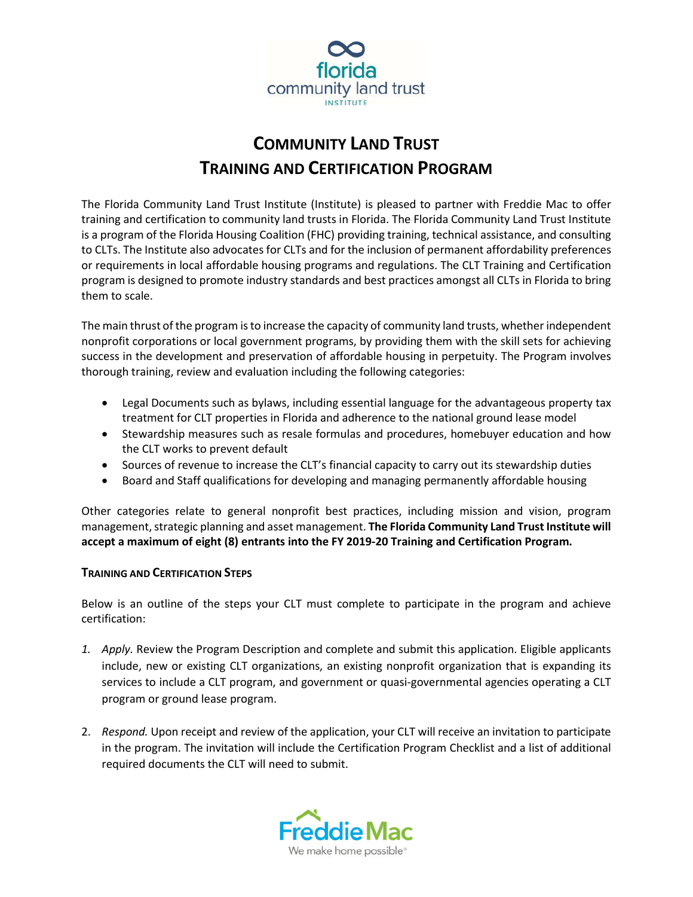

# **COMMUNITY LAND TRUST TRAINING AND CERTIFICATION PROGRAM**

The Florida Community Land Trust Institute (Institute) is pleased to partner with Freddie Mac to offer training and certification to community land trusts in Florida. The Florida Community Land Trust Institute is a program of the Florida Housing Coalition (FHC) providing training, technical assistance, and consulting to CLTs. The Institute also advocates for CLTs and for the inclusion of permanent affordability preferences or requirements in local affordable housing programs and regulations. The CLT Training and Certification program is designed to promote industry standards and best practices amongst all CLTs in Florida to bring them to scale.

The main thrust of the program is to increase the capacity of community land trusts, whether independent nonprofit corporations or local government programs, by providing them with the skill sets for achieving success in the development and preservation of affordable housing in perpetuity. The Program involves thorough training, review and evaluation including the following categories:

- Legal Documents such as bylaws, including essential language for the advantageous property tax treatment for CLT properties in Florida and adherence to the national ground lease model
- Stewardship measures such as resale formulas and procedures, homebuyer education and how the CLT works to prevent default
- Sources of revenue to increase the CLT's financial capacity to carry out its stewardship duties
- Board and Staff qualifications for developing and managing permanently affordable housing

Other categories relate to general nonprofit best practices, including mission and vision, program management, strategic planning and asset management. **The Florida Community Land Trust Institute will accept a maximum of eight (8) entrants into the FY 2019-20 Training and Certification Program.**

## **TRAINING AND CERTIFICATION STEPS**

Below is an outline of the steps your CLT must complete to participate in the program and achieve certification:

- *1. Apply.* Review the Program Description and complete and submit this application. Eligible applicants include, new or existing CLT organizations, an existing nonprofit organization that is expanding its services to include a CLT program, and government or quasi-governmental agencies operating a CLT program or ground lease program.
- 2. *Respond.* Upon receipt and review of the application, your CLT will receive an invitation to participate in the program. The invitation will include the Certification Program Checklist and a list of additional required documents the CLT will need to submit.

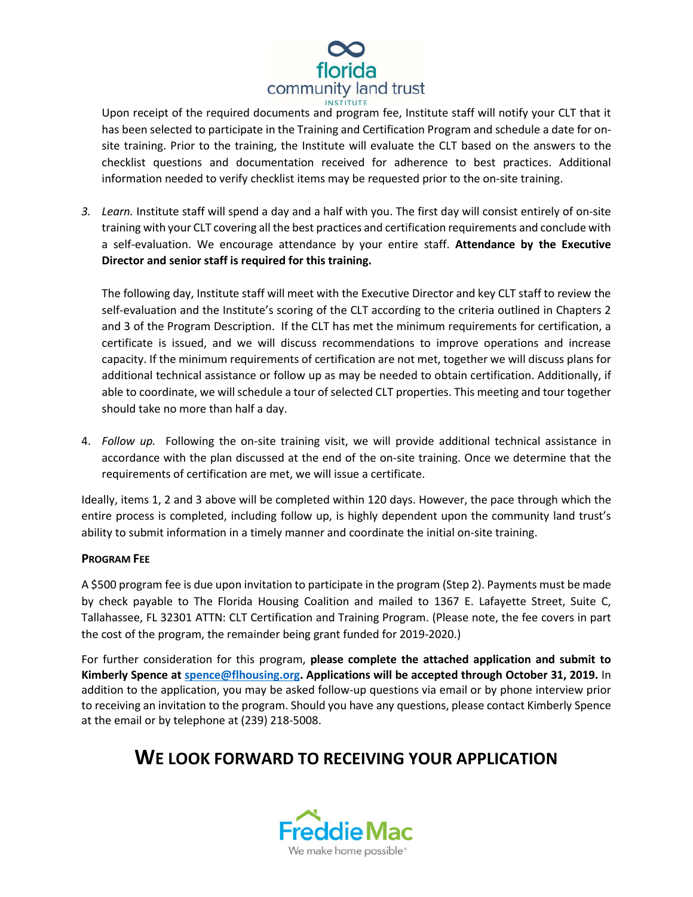

Upon receipt of the required documents and program fee, Institute staff will notify your CLT that it has been selected to participate in the Training and Certification Program and schedule a date for onsite training. Prior to the training, the Institute will evaluate the CLT based on the answers to the checklist questions and documentation received for adherence to best practices. Additional information needed to verify checklist items may be requested prior to the on-site training.

*3. Learn.* Institute staff will spend a day and a half with you. The first day will consist entirely of on-site training with your CLT covering all the best practices and certification requirements and conclude with a self-evaluation. We encourage attendance by your entire staff. **Attendance by the Executive Director and senior staff is required for this training.** 

The following day, Institute staff will meet with the Executive Director and key CLT staff to review the self-evaluation and the Institute's scoring of the CLT according to the criteria outlined in Chapters 2 and 3 of the Program Description. If the CLT has met the minimum requirements for certification, a certificate is issued, and we will discuss recommendations to improve operations and increase capacity. If the minimum requirements of certification are not met, together we will discuss plans for additional technical assistance or follow up as may be needed to obtain certification. Additionally, if able to coordinate, we will schedule a tour of selected CLT properties. This meeting and tour together should take no more than half a day.

4. *Follow up.* Following the on-site training visit, we will provide additional technical assistance in accordance with the plan discussed at the end of the on-site training. Once we determine that the requirements of certification are met, we will issue a certificate.

Ideally, items 1, 2 and 3 above will be completed within 120 days. However, the pace through which the entire process is completed, including follow up, is highly dependent upon the community land trust's ability to submit information in a timely manner and coordinate the initial on-site training.

#### **PROGRAM FEE**

A \$500 program fee is due upon invitation to participate in the program (Step 2). Payments must be made by check payable to The Florida Housing Coalition and mailed to 1367 E. Lafayette Street, Suite C, Tallahassee, FL 32301 ATTN: CLT Certification and Training Program. (Please note, the fee covers in part the cost of the program, the remainder being grant funded for 2019-2020.)

For further consideration for this program, **please complete the attached application and submit to Kimberly Spence at spence@flhousing.org. Applications will be accepted through October 31, 2019.** In addition to the application, you may be asked follow-up questions via email or by phone interview prior to receiving an invitation to the program. Should you have any questions, please contact Kimberly Spence at the email or by telephone at (239) 218-5008.

# **WE LOOK FORWARD TO RECEIVING YOUR APPLICATION**

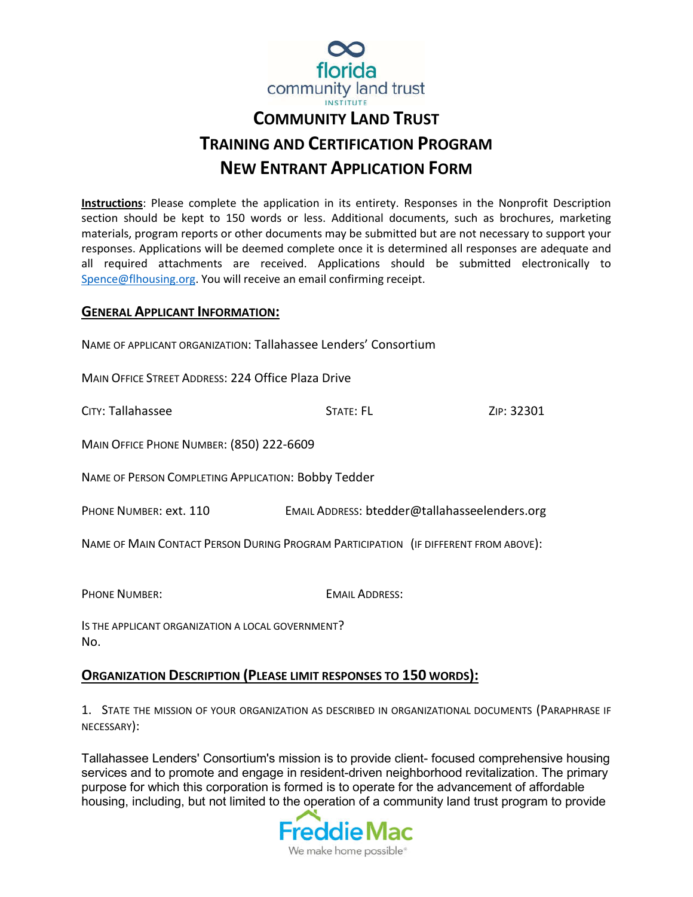

# **COMMUNITY LAND TRUST TRAINING AND CERTIFICATION PROGRAM NEW ENTRANT APPLICATION FORM**

**Instructions**: Please complete the application in its entirety. Responses in the Nonprofit Description section should be kept to 150 words or less. Additional documents, such as brochures, marketing materials, program reports or other documents may be submitted but are not necessary to support your responses. Applications will be deemed complete once it is determined all responses are adequate and all required attachments are received. Applications should be submitted electronically to Spence@flhousing.org. You will receive an email confirming receipt.

## **GENERAL APPLICANT INFORMATION:**

NAME OF APPLICANT ORGANIZATION: Tallahassee Lenders' Consortium

MAIN OFFICE STREET ADDRESS: 224 Office Plaza Drive

CITY: Tallahassee STATE: FL STATE: FL STATE: FL ZIP: 32301

MAIN OFFICE PHONE NUMBER: (850) 222-6609

NAME OF PERSON COMPLETING APPLICATION: Bobby Tedder

PHONE NUMBER: ext. 110 EMAIL ADDRESS: btedder@tallahasseelenders.org

NAME OF MAIN CONTACT PERSON DURING PROGRAM PARTICIPATION (IF DIFFERENT FROM ABOVE):

PHONE NUMBER: EMAIL ADDRESS:

IS THE APPLICANT ORGANIZATION A LOCAL GOVERNMENT? No.

## **ORGANIZATION DESCRIPTION (PLEASE LIMIT RESPONSES TO 150 WORDS):**

1. STATE THE MISSION OF YOUR ORGANIZATION AS DESCRIBED IN ORGANIZATIONAL DOCUMENTS (PARAPHRASE IF NECESSARY):

Tallahassee Lenders' Consortium's mission is to provide client- focused comprehensive housing services and to promote and engage in resident-driven neighborhood revitalization. The primary purpose for which this corporation is formed is to operate for the advancement of affordable housing, including, but not limited to the operation of a community land trust program to provide

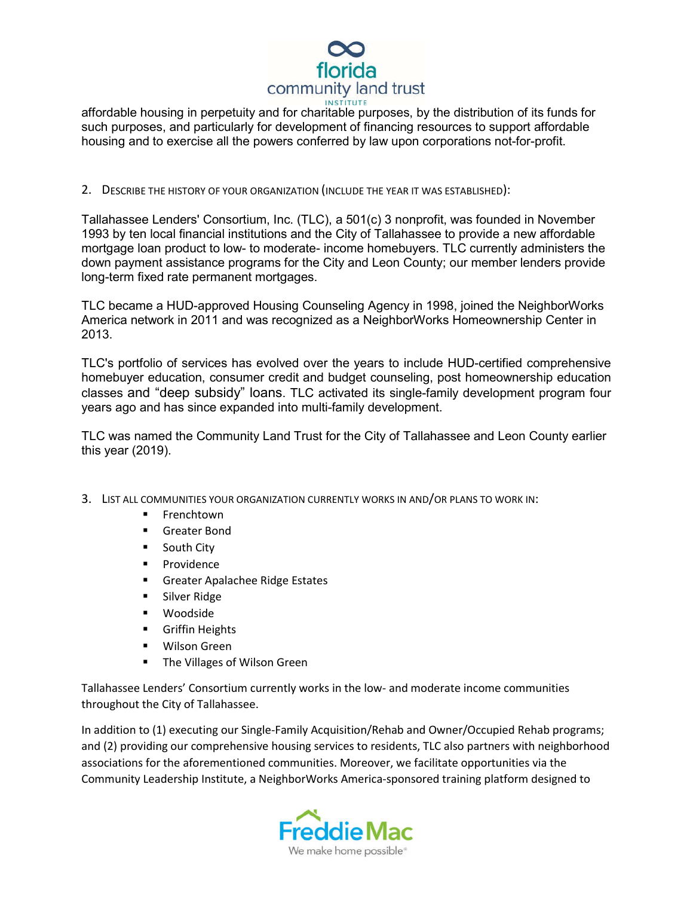

affordable housing in perpetuity and for charitable purposes, by the distribution of its funds for such purposes, and particularly for development of financing resources to support affordable housing and to exercise all the powers conferred by law upon corporations not-for-profit.

2. DESCRIBE THE HISTORY OF YOUR ORGANIZATION (INCLUDE THE YEAR IT WAS ESTABLISHED):

Tallahassee Lenders' Consortium, Inc. (TLC), a 501(c) 3 nonprofit, was founded in November 1993 by ten local financial institutions and the City of Tallahassee to provide a new affordable mortgage loan product to low- to moderate- income homebuyers. TLC currently administers the down payment assistance programs for the City and Leon County; our member lenders provide long-term fixed rate permanent mortgages.

TLC became a HUD-approved Housing Counseling Agency in 1998, joined the NeighborWorks America network in 2011 and was recognized as a NeighborWorks Homeownership Center in 2013.

TLC's portfolio of services has evolved over the years to include HUD-certified comprehensive homebuyer education, consumer credit and budget counseling, post homeownership education classes and "deep subsidy" loans. TLC activated its single-family development program four years ago and has since expanded into multi-family development.

TLC was named the Community Land Trust for the City of Tallahassee and Leon County earlier this year (2019).

- 3. LIST ALL COMMUNITIES YOUR ORGANIZATION CURRENTLY WORKS IN AND/OR PLANS TO WORK IN:
	- Frenchtown
	- **Greater Bond**
	- **South City**
	- **Providence**
	- **Greater Apalachee Ridge Estates**
	- **Silver Ridge**
	- Woodside
	- **Griffin Heights**
	- **Wilson Green**
	- **The Villages of Wilson Green**

Tallahassee Lenders' Consortium currently works in the low- and moderate income communities throughout the City of Tallahassee.

In addition to (1) executing our Single-Family Acquisition/Rehab and Owner/Occupied Rehab programs; and (2) providing our comprehensive housing services to residents, TLC also partners with neighborhood associations for the aforementioned communities. Moreover, we facilitate opportunities via the Community Leadership Institute, a NeighborWorks America-sponsored training platform designed to

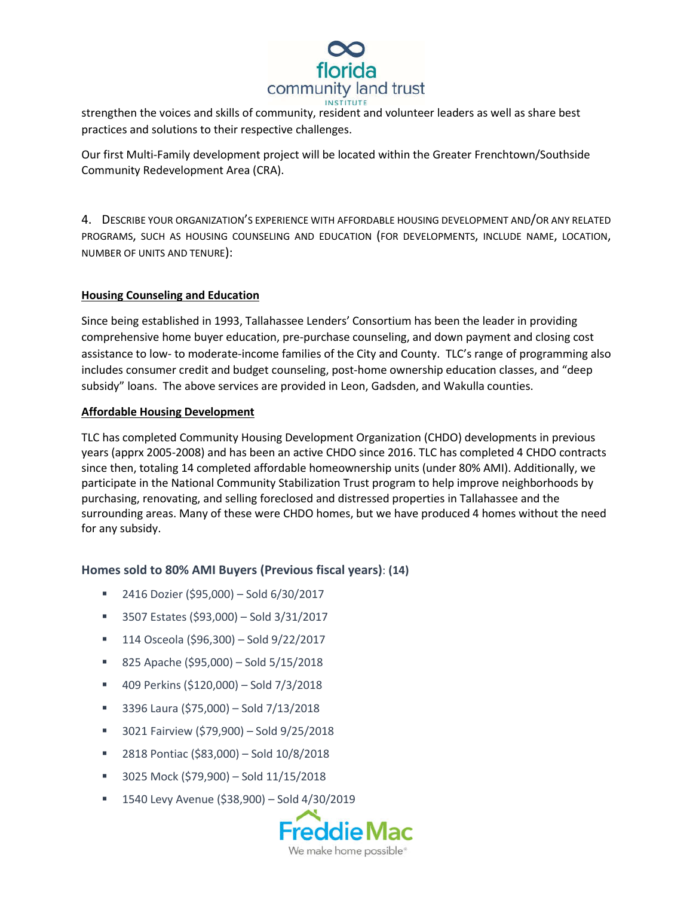

strengthen the voices and skills of community, resident and volunteer leaders as well as share best practices and solutions to their respective challenges.

Our first Multi-Family development project will be located within the Greater Frenchtown/Southside Community Redevelopment Area (CRA).

4. DESCRIBE YOUR ORGANIZATION'S EXPERIENCE WITH AFFORDABLE HOUSING DEVELOPMENT AND/OR ANY RELATED PROGRAMS, SUCH AS HOUSING COUNSELING AND EDUCATION (FOR DEVELOPMENTS, INCLUDE NAME, LOCATION, NUMBER OF UNITS AND TENURE):

#### **Housing Counseling and Education**

Since being established in 1993, Tallahassee Lenders' Consortium has been the leader in providing comprehensive home buyer education, pre-purchase counseling, and down payment and closing cost assistance to low- to moderate-income families of the City and County. TLC's range of programming also includes consumer credit and budget counseling, post-home ownership education classes, and "deep subsidy" loans. The above services are provided in Leon, Gadsden, and Wakulla counties.

#### **Affordable Housing Development**

TLC has completed Community Housing Development Organization (CHDO) developments in previous years (apprx 2005-2008) and has been an active CHDO since 2016. TLC has completed 4 CHDO contracts since then, totaling 14 completed affordable homeownership units (under 80% AMI). Additionally, we participate in the National Community Stabilization Trust program to help improve neighborhoods by purchasing, renovating, and selling foreclosed and distressed properties in Tallahassee and the surrounding areas. Many of these were CHDO homes, but we have produced 4 homes without the need for any subsidy.

## **Homes sold to 80% AMI Buyers (Previous fiscal years)**: **(14)**

- $\blacksquare$  2416 Dozier (\$95,000) Sold 6/30/2017
- 3507 Estates (\$93,000) Sold 3/31/2017
- $114$  Osceola (\$96,300) Sold 9/22/2017
- $\blacksquare$  825 Apache (\$95,000) Sold 5/15/2018
- 409 Perkins (\$120,000) Sold 7/3/2018
- 3396 Laura (\$75,000) Sold 7/13/2018
- 3021 Fairview (\$79,900) Sold 9/25/2018
- 2818 Pontiac (\$83,000) Sold 10/8/2018
- 3025 Mock (\$79,900) Sold 11/15/2018
- $1540$  Levy Avenue (\$38,900) Sold 4/30/2019

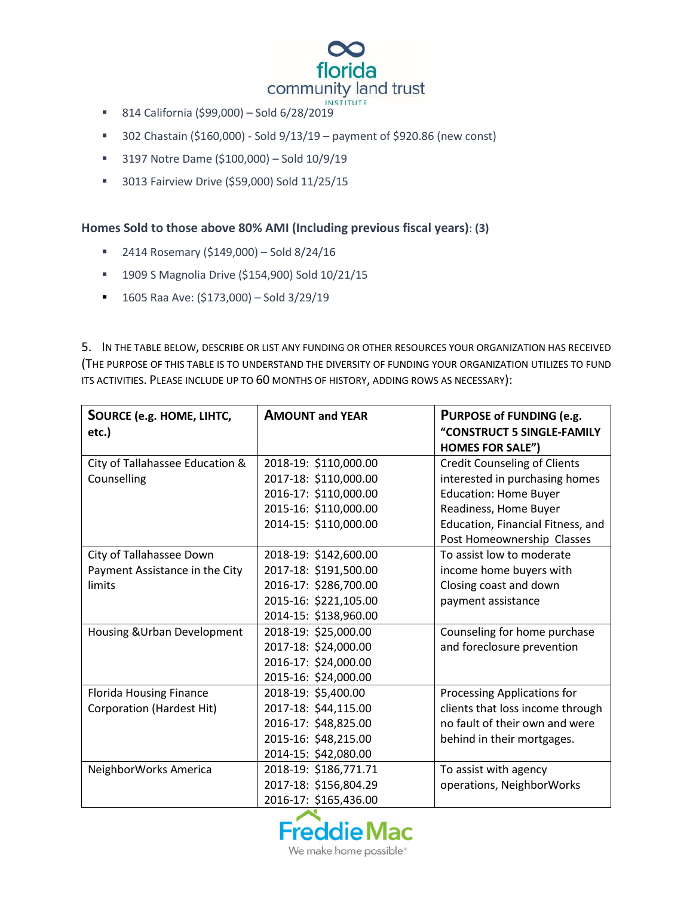

- 814 California (\$99,000) Sold 6/28/2019
- $\blacksquare$  302 Chastain (\$160,000) Sold 9/13/19 payment of \$920.86 (new const)
- 3197 Notre Dame (\$100,000) Sold 10/9/19
- **3013 Fairview Drive (\$59,000) Sold 11/25/15**

## **Homes Sold to those above 80% AMI (Including previous fiscal years)**: **(3)**

- $\blacksquare$  2414 Rosemary (\$149,000) Sold 8/24/16
- 1909 S Magnolia Drive (\$154,900) Sold 10/21/15
- $1605$  Raa Ave: (\$173,000) Sold 3/29/19

5. IN THE TABLE BELOW, DESCRIBE OR LIST ANY FUNDING OR OTHER RESOURCES YOUR ORGANIZATION HAS RECEIVED (THE PURPOSE OF THIS TABLE IS TO UNDERSTAND THE DIVERSITY OF FUNDING YOUR ORGANIZATION UTILIZES TO FUND ITS ACTIVITIES. PLEASE INCLUDE UP TO 60 MONTHS OF HISTORY, ADDING ROWS AS NECESSARY):

| <b>SOURCE (e.g. HOME, LIHTC,</b> | <b>AMOUNT and YEAR</b> | PURPOSE of FUNDING (e.g.            |  |
|----------------------------------|------------------------|-------------------------------------|--|
| etc.)                            |                        | "CONSTRUCT 5 SINGLE-FAMILY          |  |
|                                  |                        | <b>HOMES FOR SALE")</b>             |  |
| City of Tallahassee Education &  | 2018-19: \$110,000.00  | <b>Credit Counseling of Clients</b> |  |
| Counselling                      | 2017-18: \$110,000.00  | interested in purchasing homes      |  |
|                                  | 2016-17: \$110,000.00  | <b>Education: Home Buyer</b>        |  |
|                                  | 2015-16: \$110,000.00  | Readiness, Home Buyer               |  |
|                                  | 2014-15: \$110,000.00  | Education, Financial Fitness, and   |  |
|                                  |                        | Post Homeownership Classes          |  |
| City of Tallahassee Down         | 2018-19: \$142,600.00  | To assist low to moderate           |  |
| Payment Assistance in the City   | 2017-18: \$191,500.00  | income home buyers with             |  |
| limits                           | 2016-17: \$286,700.00  | Closing coast and down              |  |
|                                  | 2015-16: \$221,105.00  | payment assistance                  |  |
|                                  | 2014-15: \$138,960.00  |                                     |  |
| Housing & Urban Development      | 2018-19: \$25,000.00   | Counseling for home purchase        |  |
|                                  | 2017-18: \$24,000.00   | and foreclosure prevention          |  |
|                                  | 2016-17: \$24,000.00   |                                     |  |
|                                  | 2015-16: \$24,000.00   |                                     |  |
| <b>Florida Housing Finance</b>   | 2018-19: \$5,400.00    | Processing Applications for         |  |
| <b>Corporation (Hardest Hit)</b> | 2017-18: \$44,115.00   | clients that loss income through    |  |
|                                  | 2016-17: \$48,825.00   | no fault of their own and were      |  |
|                                  | 2015-16: \$48,215.00   | behind in their mortgages.          |  |
|                                  | 2014-15: \$42,080.00   |                                     |  |
| NeighborWorks America            | 2018-19: \$186,771.71  | To assist with agency               |  |
|                                  | 2017-18: \$156,804.29  | operations, NeighborWorks           |  |
|                                  | 2016-17: \$165,436.00  |                                     |  |



We make home possible<sup>®</sup>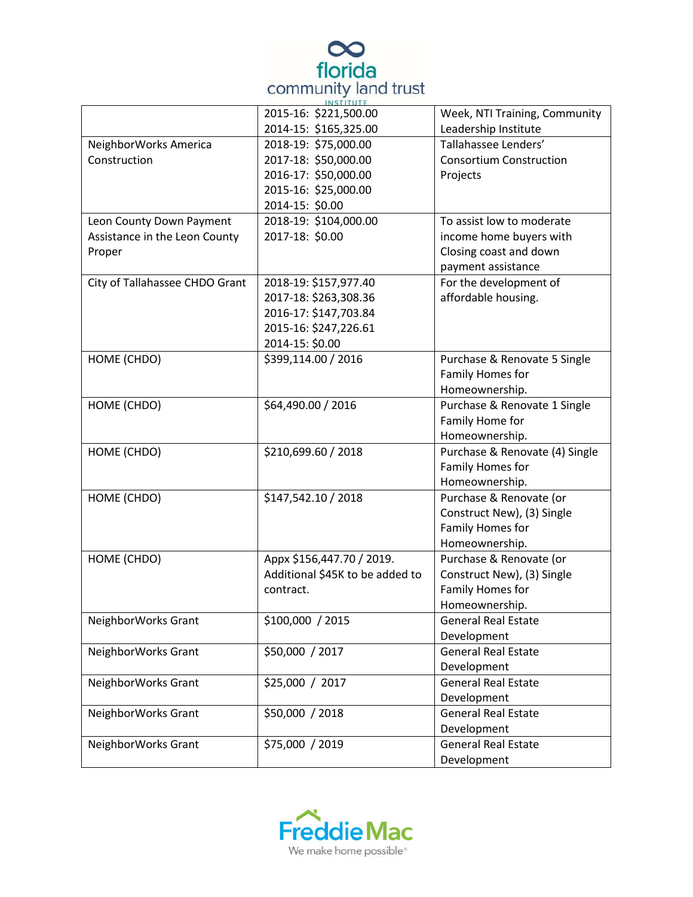

|                                | $IN$ $S$ $I$ $I$ $U$ $I$ $E$<br>2015-16: \$221,500.00 | Week, NTI Training, Community  |
|--------------------------------|-------------------------------------------------------|--------------------------------|
|                                | 2014-15: \$165,325.00                                 | Leadership Institute           |
| NeighborWorks America          | 2018-19: \$75,000.00                                  | Tallahassee Lenders'           |
| Construction                   | 2017-18: \$50,000.00                                  | <b>Consortium Construction</b> |
|                                | 2016-17: \$50,000.00                                  | Projects                       |
|                                | 2015-16: \$25,000.00                                  |                                |
|                                | 2014-15: \$0.00                                       |                                |
| Leon County Down Payment       | 2018-19: \$104,000.00                                 | To assist low to moderate      |
| Assistance in the Leon County  | 2017-18: \$0.00                                       | income home buyers with        |
| Proper                         |                                                       | Closing coast and down         |
|                                |                                                       | payment assistance             |
| City of Tallahassee CHDO Grant | 2018-19: \$157,977.40                                 | For the development of         |
|                                | 2017-18: \$263,308.36                                 | affordable housing.            |
|                                | 2016-17: \$147,703.84                                 |                                |
|                                | 2015-16: \$247,226.61                                 |                                |
|                                | 2014-15: \$0.00                                       |                                |
| HOME (CHDO)                    | \$399,114.00 / 2016                                   | Purchase & Renovate 5 Single   |
|                                |                                                       | Family Homes for               |
|                                |                                                       | Homeownership.                 |
| HOME (CHDO)                    | \$64,490.00 / 2016                                    | Purchase & Renovate 1 Single   |
|                                |                                                       | Family Home for                |
|                                |                                                       | Homeownership.                 |
| HOME (CHDO)                    | \$210,699.60 / 2018                                   | Purchase & Renovate (4) Single |
|                                |                                                       | Family Homes for               |
|                                |                                                       | Homeownership.                 |
| HOME (CHDO)                    | \$147,542.10 / 2018                                   | Purchase & Renovate (or        |
|                                |                                                       | Construct New), (3) Single     |
|                                |                                                       | Family Homes for               |
|                                |                                                       | Homeownership.                 |
| HOME (CHDO)                    | Appx \$156,447.70 / 2019.                             | Purchase & Renovate (or        |
|                                | Additional \$45K to be added to                       | Construct New), (3) Single     |
|                                | contract.                                             | Family Homes for               |
|                                |                                                       | Homeownership.                 |
| NeighborWorks Grant            | \$100,000 / 2015                                      | <b>General Real Estate</b>     |
|                                |                                                       | Development                    |
| NeighborWorks Grant            | \$50,000 / 2017                                       | <b>General Real Estate</b>     |
|                                |                                                       | Development                    |
| NeighborWorks Grant            | \$25,000 / 2017                                       | <b>General Real Estate</b>     |
|                                |                                                       | Development                    |
| NeighborWorks Grant            | \$50,000 / 2018                                       | <b>General Real Estate</b>     |
|                                |                                                       | Development                    |
| NeighborWorks Grant            | \$75,000 / 2019                                       | <b>General Real Estate</b>     |
|                                |                                                       | Development                    |

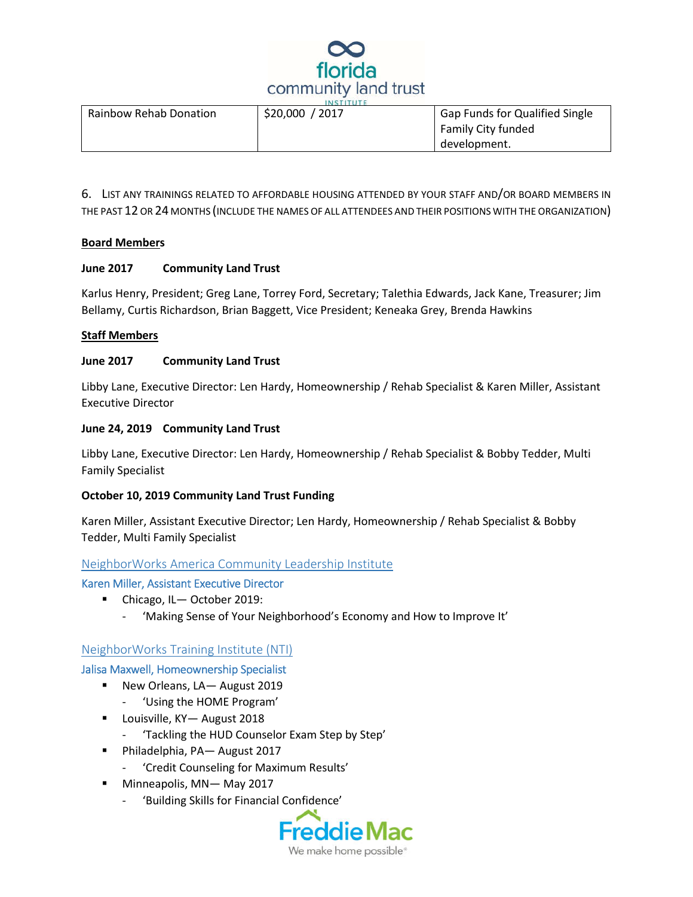

| <b>Rainbow Rehab Donation</b> | \$20,000 / 2017 | <b>Gap Funds for Qualified Single</b> |  |
|-------------------------------|-----------------|---------------------------------------|--|
|                               |                 | <b>Family City funded</b>             |  |
|                               |                 | development.                          |  |

6. LIST ANY TRAININGS RELATED TO AFFORDABLE HOUSING ATTENDED BY YOUR STAFF AND/OR BOARD MEMBERS IN THE PAST 12 OR 24 MONTHS (INCLUDE THE NAMES OF ALL ATTENDEES AND THEIR POSITIONS WITH THE ORGANIZATION)

#### **Board Members**

#### **June 2017 Community Land Trust**

Karlus Henry, President; Greg Lane, Torrey Ford, Secretary; Talethia Edwards, Jack Kane, Treasurer; Jim Bellamy, Curtis Richardson, Brian Baggett, Vice President; Keneaka Grey, Brenda Hawkins

#### **Staff Members**

#### **June 2017 Community Land Trust**

Libby Lane, Executive Director: Len Hardy, Homeownership / Rehab Specialist & Karen Miller, Assistant Executive Director

#### **June 24, 2019 Community Land Trust**

Libby Lane, Executive Director: Len Hardy, Homeownership / Rehab Specialist & Bobby Tedder, Multi Family Specialist

#### **October 10, 2019 Community Land Trust Funding**

Karen Miller, Assistant Executive Director; Len Hardy, Homeownership / Rehab Specialist & Bobby Tedder, Multi Family Specialist

#### NeighborWorks America Community Leadership Institute

Karen Miller, Assistant Executive Director

- Chicago, IL October 2019:
	- 'Making Sense of Your Neighborhood's Economy and How to Improve It'

#### NeighborWorks Training Institute (NTI)

Jalisa Maxwell, Homeownership Specialist

- New Orleans, LA- August 2019
	- 'Using the HOME Program'
- Louisville, KY– August 2018
	- 'Tackling the HUD Counselor Exam Step by Step'
- Philadelphia, PA— August 2017
	- 'Credit Counseling for Maximum Results'
- Minneapolis, MN-May 2017
	- 'Building Skills for Financial Confidence'

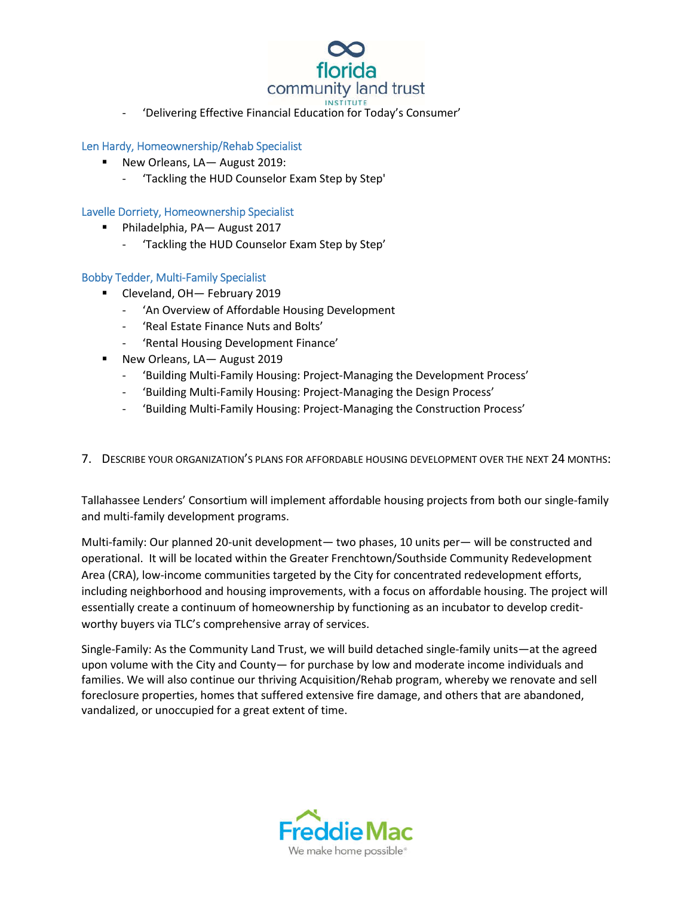

'Delivering Effective Financial Education for Today's Consumer'

#### Len Hardy, Homeownership/Rehab Specialist

- New Orleans, LA– August 2019:
	- 'Tackling the HUD Counselor Exam Step by Step'

#### Lavelle Dorriety, Homeownership Specialist

- Philadelphia, PA— August 2017
	- 'Tackling the HUD Counselor Exam Step by Step'

#### Bobby Tedder, Multi-Family Specialist

- Cleveland, OH— February 2019
	- 'An Overview of Affordable Housing Development
	- 'Real Estate Finance Nuts and Bolts'
	- 'Rental Housing Development Finance'
- New Orleans, LA— August 2019
	- 'Building Multi-Family Housing: Project-Managing the Development Process'
	- 'Building Multi-Family Housing: Project-Managing the Design Process'
	- 'Building Multi-Family Housing: Project-Managing the Construction Process'
- 7. DESCRIBE YOUR ORGANIZATION'S PLANS FOR AFFORDABLE HOUSING DEVELOPMENT OVER THE NEXT 24 MONTHS:

Tallahassee Lenders' Consortium will implement affordable housing projects from both our single-family and multi-family development programs.

Multi-family: Our planned 20-unit development— two phases, 10 units per— will be constructed and operational. It will be located within the Greater Frenchtown/Southside Community Redevelopment Area (CRA), low-income communities targeted by the City for concentrated redevelopment efforts, including neighborhood and housing improvements, with a focus on affordable housing. The project will essentially create a continuum of homeownership by functioning as an incubator to develop creditworthy buyers via TLC's comprehensive array of services.

Single-Family: As the Community Land Trust, we will build detached single-family units—at the agreed upon volume with the City and County— for purchase by low and moderate income individuals and families. We will also continue our thriving Acquisition/Rehab program, whereby we renovate and sell foreclosure properties, homes that suffered extensive fire damage, and others that are abandoned, vandalized, or unoccupied for a great extent of time.

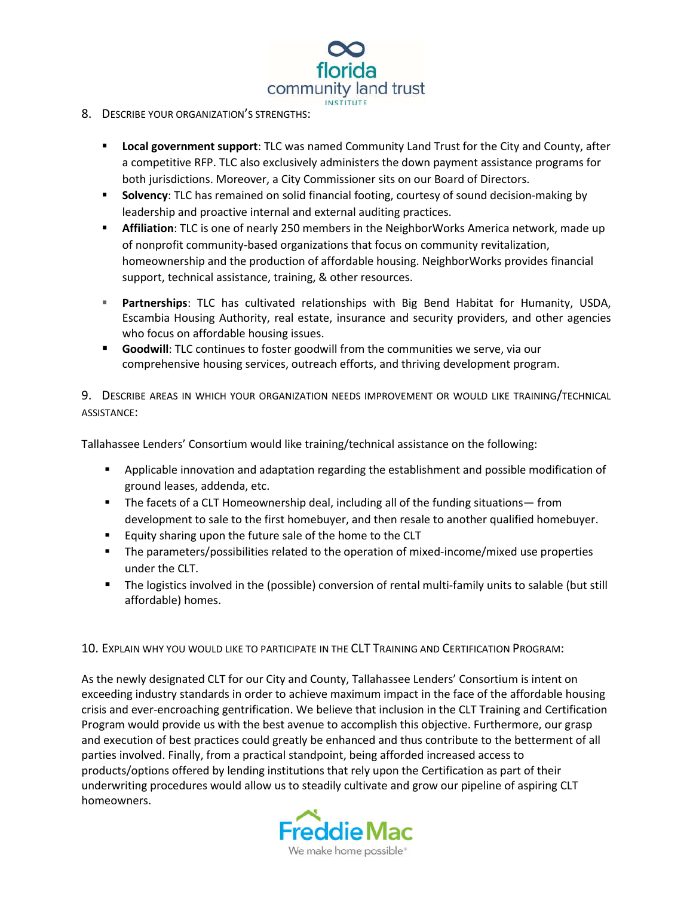

#### 8. DESCRIBE YOUR ORGANIZATION'S STRENGTHS:

- **Local government support**: TLC was named Community Land Trust for the City and County, after a competitive RFP. TLC also exclusively administers the down payment assistance programs for both jurisdictions. Moreover, a City Commissioner sits on our Board of Directors.
- **Solvency**: TLC has remained on solid financial footing, courtesy of sound decision-making by leadership and proactive internal and external auditing practices.
- **Affiliation**: TLC is one of nearly 250 members in the NeighborWorks America network, made up of nonprofit community-based organizations that focus on community revitalization, homeownership and the production of affordable housing. NeighborWorks provides financial support, technical assistance, training, & other resources.
- **Partnerships**: TLC has cultivated relationships with Big Bend Habitat for Humanity, USDA, Escambia Housing Authority, real estate, insurance and security providers, and other agencies who focus on affordable housing issues.
- **Goodwill**: TLC continues to foster goodwill from the communities we serve, via our comprehensive housing services, outreach efforts, and thriving development program.

9. DESCRIBE AREAS IN WHICH YOUR ORGANIZATION NEEDS IMPROVEMENT OR WOULD LIKE TRAINING/TECHNICAL ASSISTANCE:

Tallahassee Lenders' Consortium would like training/technical assistance on the following:

- Applicable innovation and adaptation regarding the establishment and possible modification of ground leases, addenda, etc.
- The facets of a CLT Homeownership deal, including all of the funding situations— from development to sale to the first homebuyer, and then resale to another qualified homebuyer.
- **Equity sharing upon the future sale of the home to the CLT**
- The parameters/possibilities related to the operation of mixed-income/mixed use properties under the CLT.
- The logistics involved in the (possible) conversion of rental multi-family units to salable (but still affordable) homes.

10. EXPLAIN WHY YOU WOULD LIKE TO PARTICIPATE IN THE CLT TRAINING AND CERTIFICATION PROGRAM:

As the newly designated CLT for our City and County, Tallahassee Lenders' Consortium is intent on exceeding industry standards in order to achieve maximum impact in the face of the affordable housing crisis and ever-encroaching gentrification. We believe that inclusion in the CLT Training and Certification Program would provide us with the best avenue to accomplish this objective. Furthermore, our grasp and execution of best practices could greatly be enhanced and thus contribute to the betterment of all parties involved. Finally, from a practical standpoint, being afforded increased access to products/options offered by lending institutions that rely upon the Certification as part of their underwriting procedures would allow us to steadily cultivate and grow our pipeline of aspiring CLT homeowners.

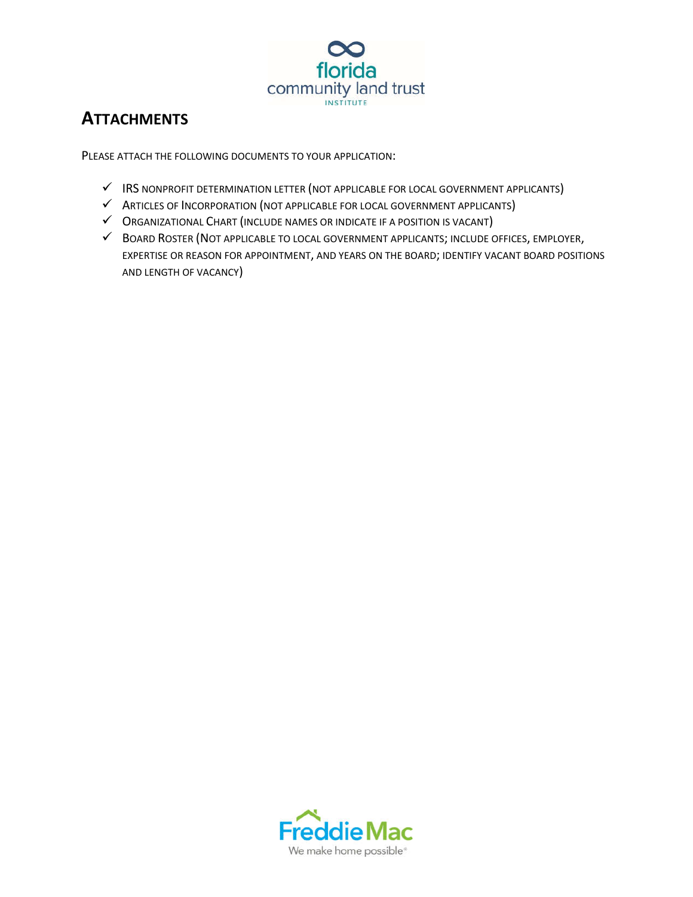

# **ATTACHMENTS**

PLEASE ATTACH THE FOLLOWING DOCUMENTS TO YOUR APPLICATION:

- $\checkmark$  IRS NONPROFIT DETERMINATION LETTER (NOT APPLICABLE FOR LOCAL GOVERNMENT APPLICANTS)
- $\checkmark$  ARTICLES OF INCORPORATION (NOT APPLICABLE FOR LOCAL GOVERNMENT APPLICANTS)
- ORGANIZATIONAL CHART (INCLUDE NAMES OR INDICATE IF A POSITION IS VACANT)
- BOARD ROSTER (NOT APPLICABLE TO LOCAL GOVERNMENT APPLICANTS; INCLUDE OFFICES, EMPLOYER, EXPERTISE OR REASON FOR APPOINTMENT, AND YEARS ON THE BOARD; IDENTIFY VACANT BOARD POSITIONS AND LENGTH OF VACANCY)